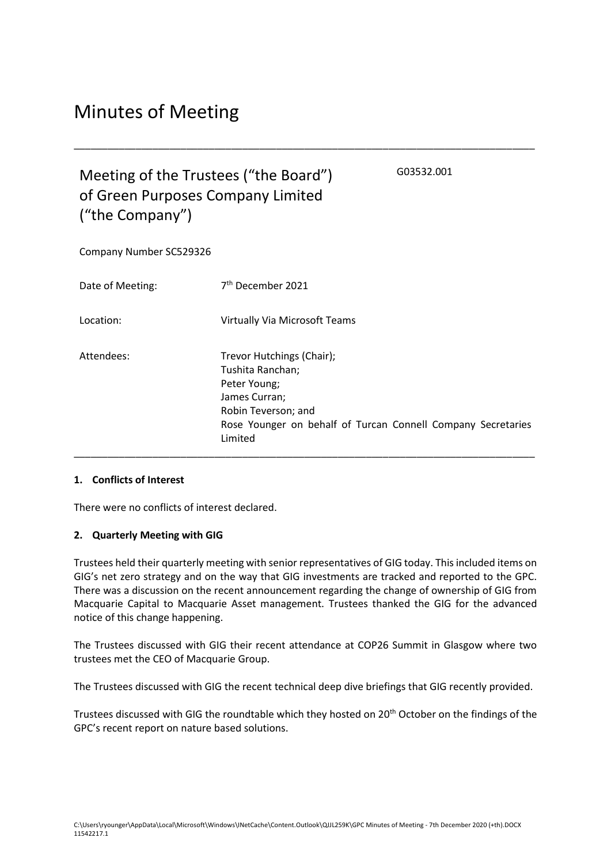# Minutes of Meeting

## Meeting of the Trustees ("the Board") of Green Purposes Company Limited ("the Company")

G03532.001

Company Number SC529326

| Date of Meeting: | 7 <sup>th</sup> December 2021                                                                                                                                                    |
|------------------|----------------------------------------------------------------------------------------------------------------------------------------------------------------------------------|
| Location:        | <b>Virtually Via Microsoft Teams</b>                                                                                                                                             |
| Attendees:       | Trevor Hutchings (Chair);<br>Tushita Ranchan;<br>Peter Young;<br>James Curran;<br>Robin Teverson; and<br>Rose Younger on behalf of Turcan Connell Company Secretaries<br>Limited |

\_\_\_\_\_\_\_\_\_\_\_\_\_\_\_\_\_\_\_\_\_\_\_\_\_\_\_\_\_\_\_\_\_\_\_\_\_\_\_\_\_\_\_\_\_\_\_\_\_\_\_\_\_\_\_\_\_\_\_\_\_\_\_\_\_\_\_\_\_\_\_\_\_\_\_\_\_\_\_\_\_\_

#### **1. Conflicts of Interest**

There were no conflicts of interest declared.

### **2. Quarterly Meeting with GIG**

Trustees held their quarterly meeting with senior representatives of GIG today. This included items on GIG's net zero strategy and on the way that GIG investments are tracked and reported to the GPC. There was a discussion on the recent announcement regarding the change of ownership of GIG from Macquarie Capital to Macquarie Asset management. Trustees thanked the GIG for the advanced notice of this change happening.

The Trustees discussed with GIG their recent attendance at COP26 Summit in Glasgow where two trustees met the CEO of Macquarie Group.

The Trustees discussed with GIG the recent technical deep dive briefings that GIG recently provided.

Trustees discussed with GIG the roundtable which they hosted on 20<sup>th</sup> October on the findings of the GPC's recent report on nature based solutions.